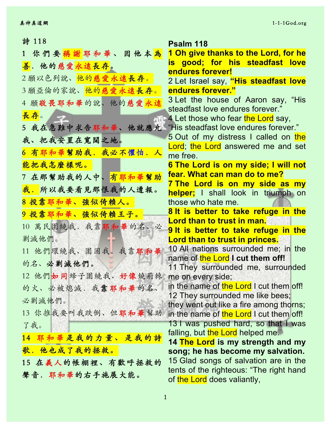| 詩 118                                        | Psalm 118                                                                  |
|----------------------------------------------|----------------------------------------------------------------------------|
| 1 你們要 <mark>稱謝</mark> 耶和華、因他本 <mark>為</mark> | 1 Oh give thanks to the Lord, for he                                       |
| <mark>善</mark> . 他的慈爱 <mark>永遠長存</mark> 。    | is good; for his steadfast love                                            |
| 2願以色列說、他的慈愛永遠長存。                             | endures forever!                                                           |
|                                              | 2 Let Israel say, "His steadfast love                                      |
| 3願亞倫的家說、他的慈愛永遠長存。                            | endures forever."                                                          |
| 4 願敬畏耶和華的說、他的慈愛永遠                            | 3 Let the house of Aaron say, "His<br>steadfast love endures forever."     |
| 長存。<br>标                                     | 4 Let those who fear the Lord say,                                         |
| 5 我在急難中求告耶和華、他就應允。                           | "His steadfast love endures forever."                                      |
| 我、把我安置在寬闊之地。                                 | 5 Out of my distress I called on the                                       |
|                                              | Lord; the Lord answered me and set                                         |
| 6 有耶和華幫助我. 我必不懼怕. 人                          | me free.                                                                   |
| 能把我怎麼樣呢。                                     | 6 The Lord is on my side; I will not                                       |
| 7 在那幫助我的人中、有耶和華幫助                            | fear. What can man do to me?                                               |
| 我. 所以我要看見那恨我的人遭報。                            | 7 The Lord is on my side as my                                             |
| 8 投靠耶和華、強似倚賴人。                               | helper; I shall look in triumph on<br>those who hate me.                   |
| 9 投靠耶和華、強似倚賴王子。                              | 8 It is better to take refuge in the                                       |
|                                              | Lord than to trust in man.                                                 |
| 10 萬民圍繞我. 我靠耶和華的名、必                          | 9 It is better to take refuge in the                                       |
| 剿滅他們。                                        | Lord than to trust in princes.                                             |
| 11 他們環繞我、圍困我. 我靠耶和華                          | 10 All nations surrounded me; in the                                       |
| 的名、必剿滅他們。                                    | name of the Lord I cut them off!                                           |
| 12 他們如同蜂子圍繞我、好像燒荊棘                           | 11 They surrounded me, surrounded<br>me on every side;                     |
| 的火、必被熄滅. 我靠耶和華的名、                            | in the name of the Lord I cut them off!                                    |
|                                              | 12 They surrounded me like bees;                                           |
| 必剿滅他們。                                       | they went out like a fire among thorns;                                    |
| 13 你推我要叫我跌倒、但耶和華幫助                           | in the name of the Lord I cut them off!                                    |
| 了我。                                          | 13 I was pushed hard, so that I was                                        |
| 14 耶和華是我的力量、是我的詩                             | falling, but the Lord helped me.                                           |
| 歌. 他也成了我的拯救。                                 | 14 The Lord is my strength and my                                          |
|                                              | song; he has become my salvation.<br>15 Glad songs of salvation are in the |
| 15 在義人的帳棚裡、有歡呼拯救的                            | tents of the righteous: "The right hand                                    |
| 聲音. 耶和華的右手施展大能。                              | of the Lord does valiantly,                                                |